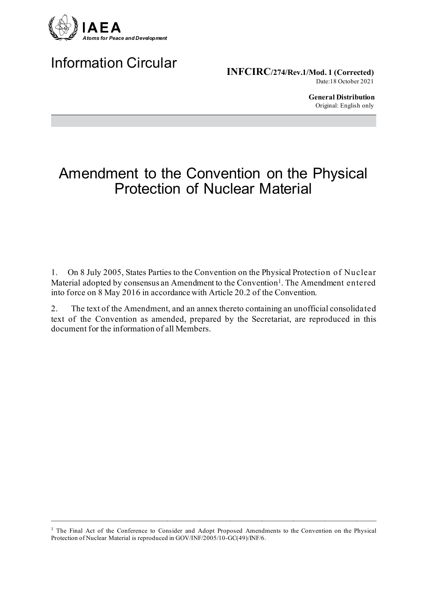

# Information Circular

**INFCIRC/274/Rev.1/Mod. 1 (Corrected)**

Date:18 October 2021

**General Distribution** Original: English only

# Amendment to the Convention on the Physical Protection of Nuclear Material

1. On 8 July 2005, States Parties to the Convention on the Physical Protection of Nuclear Material adopted by consensus an Amendment to the Convention<sup>[1](#page-0-0)</sup>. The Amendment entered into force on 8 May 2016 in accordance with Article 20.2 of the Convention.

2. The text of the Amendment, and an annex thereto containing an unofficial consolidated text of the Convention as amended, prepared by the Secretariat, are reproduced in this document for the information of all Members.

\_\_\_\_\_\_\_\_\_\_\_\_\_\_\_\_\_\_\_\_\_\_\_\_\_\_\_\_\_\_\_\_\_\_\_\_\_\_\_\_\_\_\_\_\_\_\_\_\_\_\_\_\_\_\_\_\_\_\_\_\_\_\_\_\_\_\_\_\_\_\_\_\_\_\_\_\_\_\_\_\_\_

<span id="page-0-0"></span><sup>&</sup>lt;sup>1</sup> The Final Act of the Conference to Consider and Adopt Proposed Amendments to the Convention on the Physical Protection of Nuclear Material is reproduced in GOV/INF/2005/10-GC(49)/INF/6.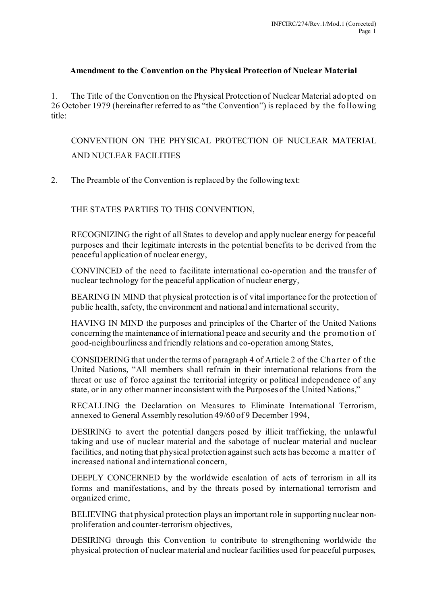## **Amendment to the Convention on the Physical Protection of Nuclear Material**

1. The Title of the Convention on the Physical Protection of Nuclear Material adopted on 26 October 1979 (hereinafter referred to as "the Convention") is replaced by the following title:

CONVENTION ON THE PHYSICAL PROTECTION OF NUCLEAR MATERIAL AND NUCLEAR FACILITIES

2. The Preamble of the Convention is replaced by the following text:

THE STATES PARTIES TO THIS CONVENTION,

RECOGNIZING the right of all States to develop and apply nuclear energy for peaceful purposes and their legitimate interests in the potential benefits to be derived from the peaceful application of nuclear energy,

CONVINCED of the need to facilitate international co-operation and the transfer of nuclear technology for the peaceful application of nuclear energy,

BEARING IN MIND that physical protection is of vital importance for the protection of public health, safety, the environment and national and international security,

HAVING IN MIND the purposes and principles of the Charter of the United Nations concerning the maintenance of international peace and security and the promotion of good-neighbourliness and friendly relations and co-operation among States,

CONSIDERING that under the terms of paragraph 4 of Article 2 of the Charter of the United Nations, "All members shall refrain in their international relations from the threat or use of force against the territorial integrity or political independence of any state, or in any other manner inconsistent with the Purposes of the United Nations,"

RECALLING the Declaration on Measures to Eliminate International Terrorism, annexed to General Assembly resolution 49/60 of 9 December 1994,

DESIRING to avert the potential dangers posed by illicit trafficking, the unlawful taking and use of nuclear material and the sabotage of nuclear material and nuclear facilities, and noting that physical protection against such acts has become a matter of increased national and international concern,

DEEPLY CONCERNED by the worldwide escalation of acts of terrorism in all its forms and manifestations, and by the threats posed by international terrorism and organized crime,

BELIEVING that physical protection plays an important role in supporting nuclear nonproliferation and counter-terrorism objectives,

DESIRING through this Convention to contribute to strengthening worldwide the physical protection of nuclear material and nuclear facilities used for peaceful purposes,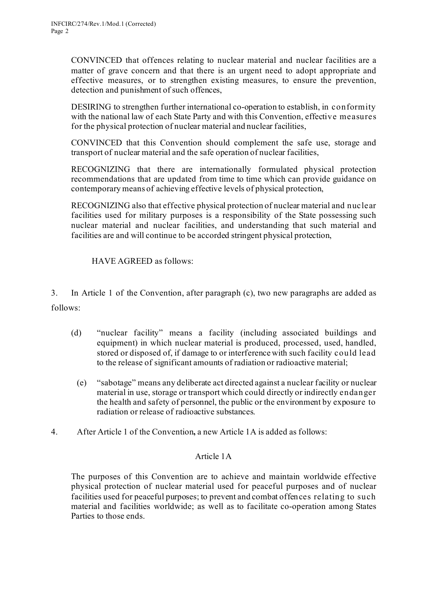CONVINCED that offences relating to nuclear material and nuclear facilities are a matter of grave concern and that there is an urgent need to adopt appropriate and effective measures, or to strengthen existing measures, to ensure the prevention, detection and punishment of such offences,

DESIRING to strengthen further international co-operation to establish, in conformity with the national law of each State Party and with this Convention, effective measures for the physical protection of nuclear material and nuclear facilities,

CONVINCED that this Convention should complement the safe use, storage and transport of nuclear material and the safe operation of nuclear facilities,

RECOGNIZING that there are internationally formulated physical protection recommendations that are updated from time to time which can provide guidance on contemporary means of achieving effective levels of physical protection,

RECOGNIZING also that effective physical protection of nuclear material and nuclear facilities used for military purposes is a responsibility of the State possessing such nuclear material and nuclear facilities, and understanding that such material and facilities are and will continue to be accorded stringent physical protection,

HAVE AGREED as follows:

3. In Article 1 of the Convention, after paragraph (c), two new paragraphs are added as follows:

- (d) "nuclear facility" means a facility (including associated buildings and equipment) in which nuclear material is produced, processed, used, handled, stored or disposed of, if damage to or interference with such facility could lead to the release of significant amounts of radiation or radioactive material;
	- (e) "sabotage" means any deliberate act directed against a nuclear facility or nuclear material in use, storage or transport which could directly or indirectly endanger the health and safety of personnel, the public or the environment by exposure to radiation or release of radioactive substances.
- 4. After Article 1 of the Convention**,** a new Article 1A is added as follows:

## Article 1A

The purposes of this Convention are to achieve and maintain worldwide effective physical protection of nuclear material used for peaceful purposes and of nuclear facilities used for peaceful purposes; to prevent and combat offences relating to such material and facilities worldwide; as well as to facilitate co-operation among States Parties to those ends.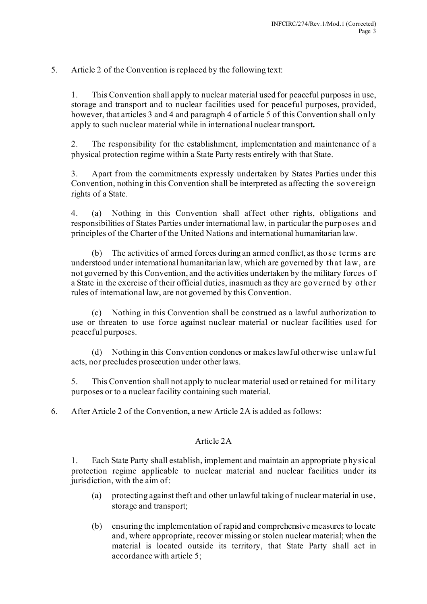5. Article 2 of the Convention is replaced by the following text:

1. This Convention shall apply to nuclear material used for peaceful purposes in use, storage and transport and to nuclear facilities used for peaceful purposes, provided, however, that articles 3 and 4 and paragraph 4 of article 5 of this Convention shall only apply to such nuclear material while in international nuclear transport**.**

2. The responsibility for the establishment, implementation and maintenance of a physical protection regime within a State Party rests entirely with that State.

3. Apart from the commitments expressly undertaken by States Parties under this Convention, nothing in this Convention shall be interpreted as affecting the sovereign rights of a State.

4. (a) Nothing in this Convention shall affect other rights, obligations and responsibilities of States Parties under international law, in particular the purposes and principles of the Charter of the United Nations and international humanitarian law.

(b) The activities of armed forces during an armed conflict, as those terms are understood under international humanitarian law, which are governed by that law, are not governed by this Convention, and the activities undertaken by the military forces of a State in the exercise of their official duties, inasmuch as they are governed by other rules of international law, are not governed by this Convention.

(c) Nothing in this Convention shall be construed as a lawful authorization to use or threaten to use force against nuclear material or nuclear facilities used for peaceful purposes.

(d) Nothing in this Convention condones or makes lawful otherwise unlawful acts, nor precludes prosecution under other laws.

5. This Convention shall not apply to nuclear material used or retained for military purposes or to a nuclear facility containing such material.

6. After Article 2 of the Convention**,** a new Article 2A is added as follows:

## Article 2A

1. Each State Party shall establish, implement and maintain an appropriate physical protection regime applicable to nuclear material and nuclear facilities under its jurisdiction, with the aim of:

- (a) protecting against theft and other unlawful taking of nuclear material in use, storage and transport;
- (b) ensuring the implementation of rapid and comprehensive measures to locate and, where appropriate, recover missing or stolen nuclear material; when the material is located outside its territory, that State Party shall act in accordance with article 5;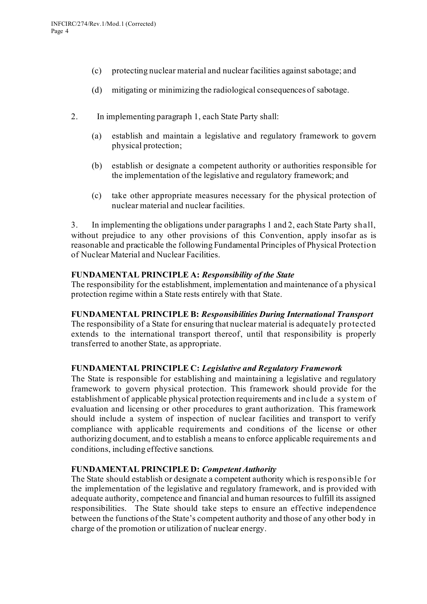- (c) protecting nuclear material and nuclear facilities against sabotage; and
- (d) mitigating or minimizing the radiological consequences of sabotage.
- 2. In implementing paragraph 1, each State Party shall:
	- (a) establish and maintain a legislative and regulatory framework to govern physical protection;
	- (b) establish or designate a competent authority or authorities responsible for the implementation of the legislative and regulatory framework; and
	- (c) take other appropriate measures necessary for the physical protection of nuclear material and nuclear facilities.

3. In implementing the obligations under paragraphs 1 and 2, each State Party shall, without prejudice to any other provisions of this Convention, apply insofar as is reasonable and practicable the following Fundamental Principles of Physical Protection of Nuclear Material and Nuclear Facilities.

#### **FUNDAMENTAL PRINCIPLE A:** *Responsibility of the State*

The responsibility for the establishment, implementation and maintenance of a physical protection regime within a State rests entirely with that State.

#### **FUNDAMENTAL PRINCIPLE B:** *Responsibilities During International Transport*

The responsibility of a State for ensuring that nuclear material is adequately protected extends to the international transport thereof, until that responsibility is properly transferred to another State, as appropriate.

#### **FUNDAMENTAL PRINCIPLE C:** *Legislative and Regulatory Framework*

The State is responsible for establishing and maintaining a legislative and regulatory framework to govern physical protection. This framework should provide for the establishment of applicable physical protection requirements and include a system of evaluation and licensing or other procedures to grant authorization. This framework should include a system of inspection of nuclear facilities and transport to verify compliance with applicable requirements and conditions of the license or other authorizing document, and to establish a means to enforce applicable requirements and conditions, including effective sanctions.

#### **FUNDAMENTAL PRINCIPLE D:** *Competent Authority*

The State should establish or designate a competent authority which is responsible f or the implementation of the legislative and regulatory framework, and is provided with adequate authority, competence and financial and human resources to fulfill its assigned responsibilities. The State should take steps to ensure an effective independence between the functions of the State's competent authority and those of any other body in charge of the promotion or utilization of nuclear energy.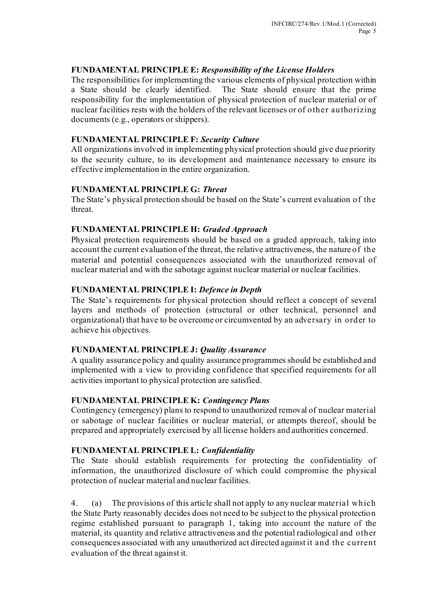#### **FUNDAMENTAL PRINCIPLE E:** *Responsibility of the License Holders*

The responsibilities for implementing the various elements of physical protection within<br>a State should be clearly identified. The State should ensure that the prime The State should ensure that the prime responsibility for the implementation of physical protection of nuclear material or of nuclear facilities rests with the holders of the relevant licenses or of other authorizing documents (e.g., operators or shippers).

#### **FUNDAMENTAL PRINCIPLE F:** *Security Culture*

All organizations involved in implementing physical protection should give due priority to the security culture, to its development and maintenance necessary to ensure its effective implementation in the entire organization.

#### **FUNDAMENTAL PRINCIPLE G:** *Threat*

The State's physical protection should be based on the State's current evaluation of the threat.

#### **FUNDAMENTAL PRINCIPLE H:** *Graded Approach*

Physical protection requirements should be based on a graded approach, taking into account the current evaluation of the threat, the relative attractiveness, the nature of the material and potential consequences associated with the unauthorized removal of nuclear material and with the sabotage against nuclear material or nuclear facilities.

## **FUNDAMENTAL PRINCIPLE I:** *Defence in Depth*

The State's requirements for physical protection should reflect a concept of several layers and methods of protection (structural or other technical, personnel and organizational) that have to be overcome or circumvented by an adversary in order to achieve his objectives.

#### **FUNDAMENTAL PRINCIPLE J:** *Quality Assurance*

A quality assurance policy and quality assurance programmes should be established and implemented with a view to providing confidence that specified requirements for all activities important to physical protection are satisfied.

## **FUNDAMENTAL PRINCIPLE K:** *Contingency Plans*

Contingency (emergency) plans to respond to unauthorized removal of nuclear material or sabotage of nuclear facilities or nuclear material, or attempts thereof, should be prepared and appropriately exercised by all license holders and authorities concerned.

## **FUNDAMENTAL PRINCIPLE L:** *Confidentiality*

The State should establish requirements for protecting the confidentiality of information, the unauthorized disclosure of which could compromise the physical protection of nuclear material and nuclear facilities.

4. (a) The provisions of this article shall not apply to any nuclear material which the State Party reasonably decides does not need to be subject to the physical protection regime established pursuant to paragraph 1, taking into account the nature of the material, its quantity and relative attractiveness and the potential radiological and other consequences associated with any unauthorized act directed against it and the current evaluation of the threat against it.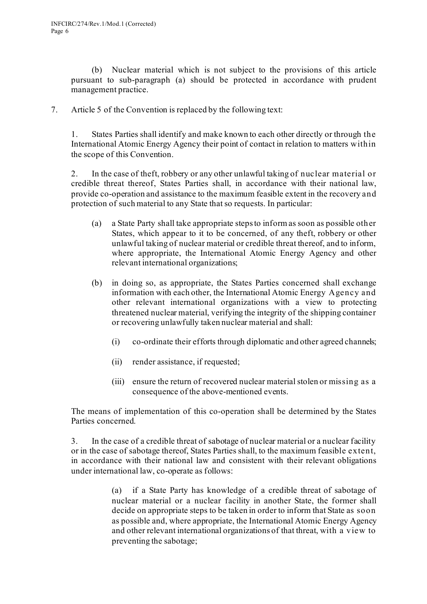(b) Nuclear material which is not subject to the provisions of this article pursuant to sub-paragraph (a) should be protected in accordance with prudent management practice.

7. Article 5 of the Convention is replaced by the following text:

1. States Parties shall identify and make known to each other directly or through the International Atomic Energy Agency their point of contact in relation to matters within the scope of this Convention.

2. In the case of theft, robbery or any other unlawful taking of nuclear material or credible threat thereof, States Parties shall, in accordance with their national law, provide co-operation and assistance to the maximum feasible extent in the recovery and protection of such material to any State that so requests. In particular:

- (a) a State Party shall take appropriate steps to inform as soon as possible other States, which appear to it to be concerned, of any theft, robbery or other unlawful taking of nuclear material or credible threat thereof, and to inform, where appropriate, the International Atomic Energy Agency and other relevant international organizations;
- (b) in doing so, as appropriate, the States Parties concerned shall exchange information with each other, the International Atomic Energy Agency and other relevant international organizations with a view to protecting threatened nuclear material, verifying the integrity of the shipping container or recovering unlawfully taken nuclear material and shall:
	- (i) co-ordinate their efforts through diplomatic and other agreed channels;
	- (ii) render assistance, if requested;
	- (iii) ensure the return of recovered nuclear material stolen or missing as a consequence of the above-mentioned events.

The means of implementation of this co-operation shall be determined by the States Parties concerned.

3. In the case of a credible threat of sabotage of nuclear material or a nuclear facility or in the case of sabotage thereof, States Parties shall, to the maximum feasible extent, in accordance with their national law and consistent with their relevant obligations under international law, co-operate as follows:

> (a) if a State Party has knowledge of a credible threat of sabotage of nuclear material or a nuclear facility in another State, the former shall decide on appropriate steps to be taken in order to inform that State as soon as possible and, where appropriate, the International Atomic Energy Agency and other relevant international organizations of that threat, with a view to preventing the sabotage;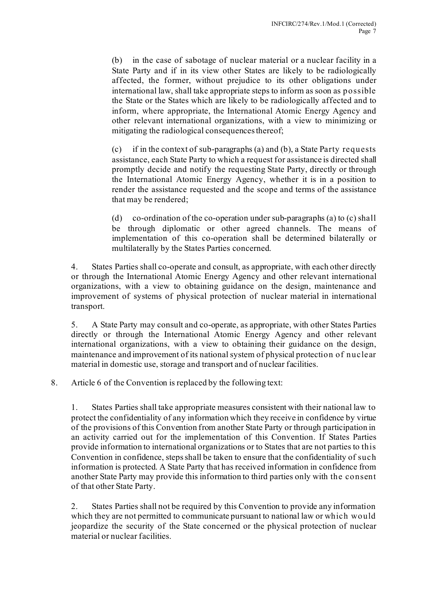(b) in the case of sabotage of nuclear material or a nuclear facility in a State Party and if in its view other States are likely to be radiologically affected, the former, without prejudice to its other obligations under international law, shall take appropriate steps to inform as soon as possible the State or the States which are likely to be radiologically affected and to inform, where appropriate, the International Atomic Energy Agency and other relevant international organizations, with a view to minimizing or mitigating the radiological consequences thereof;

(c) if in the context of sub-paragraphs (a) and (b), a State Party requests assistance, each State Party to which a request for assistance is directed shall promptly decide and notify the requesting State Party, directly or through the International Atomic Energy Agency, whether it is in a position to render the assistance requested and the scope and terms of the assistance that may be rendered;

(d) co-ordination of the co-operation under sub-paragraphs (a) to (c) shall be through diplomatic or other agreed channels. The means of implementation of this co-operation shall be determined bilaterally or multilaterally by the States Parties concerned.

4. States Parties shall co-operate and consult, as appropriate, with each other directly or through the International Atomic Energy Agency and other relevant international organizations, with a view to obtaining guidance on the design, maintenance and improvement of systems of physical protection of nuclear material in international transport.

5. A State Party may consult and co-operate, as appropriate, with other States Parties directly or through the International Atomic Energy Agency and other relevant international organizations, with a view to obtaining their guidance on the design, maintenance and improvement of its national system of physical protection of nuclear material in domestic use, storage and transport and of nuclear facilities.

8. Article 6 of the Convention is replaced by the following text:

1. States Parties shall take appropriate measures consistent with their national law to protect the confidentiality of any information which they receive in confidence by virtue of the provisions of this Convention from another State Party or through participation in an activity carried out for the implementation of this Convention. If States Parties provide information to international organizations or to States that are not parties to this Convention in confidence, steps shall be taken to ensure that the confidentiality of such information is protected. A State Party that has received information in confidence from another State Party may provide this information to third parties only with the consent of that other State Party.

2. States Parties shall not be required by this Convention to provide any information which they are not permitted to communicate pursuant to national law or which would jeopardize the security of the State concerned or the physical protection of nuclear material or nuclear facilities.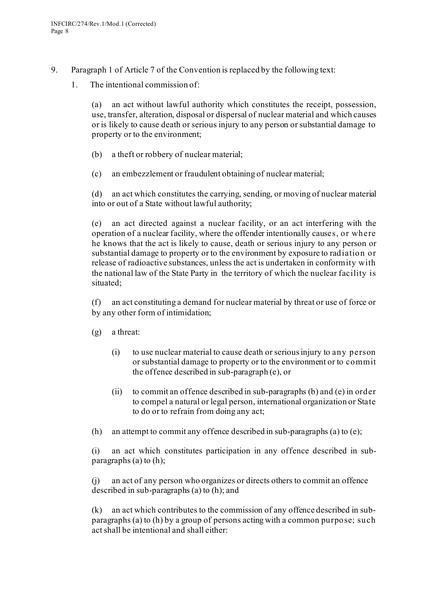- 9. Paragraph 1 of Article 7 of the Convention is replaced by the following text:
	- 1. The intentional commission of:

(a) an act without lawful authority which constitutes the receipt, possession, use, transfer, alteration, disposal or dispersal of nuclear material and which causes or is likely to cause death or serious injury to any person or substantial damage to property or to the environment;

- (b) a theft or robbery of nuclear material;
- (c) an embezzlement or fraudulent obtaining of nuclear material;

(d) an act which constitutes the carrying, sending, or moving of nuclear material into or out of a State without lawful authority;

an act directed against a nuclear facility, or an act interfering with the operation of a nuclear facility, where the offender intentionally causes, or where he knows that the act is likely to cause, death or serious injury to any person or substantial damage to property or to the environment by exposure to radiation or release of radioactive substances, unless the act is undertaken in conformity with the national law of the State Party in the territory of which the nuclear facility is situated;

(f) an act constituting a demand for nuclear material by threat or use of force or by any other form of intimidation;

- (g) a threat:
	- (i) to use nuclear material to cause death or serious injury to any person or substantial damage to property or to the environment or to commit the offence described in sub-paragraph (e), or
	- (ii) to commit an offence described in sub-paragraphs (b) and (e) in order to compel a natural or legal person, international organization or State to do or to refrain from doing any act;
- (h) an attempt to commit any offence described in sub-paragraphs (a) to (e);

(i) an act which constitutes participation in any offence described in subparagraphs (a) to (h);

(j) an act of any person who organizes or directs others to commit an offence described in sub-paragraphs (a) to (h); and

(k) an act which contributes to the commission of any offence described in subparagraphs (a) to (h) by a group of persons acting with a common purpose; such act shall be intentional and shall either: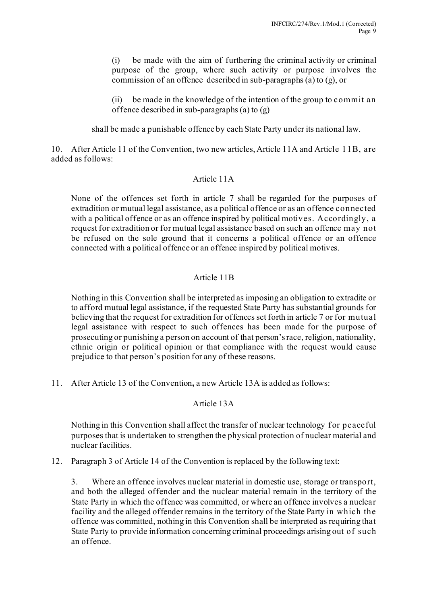(i) be made with the aim of furthering the criminal activity or criminal purpose of the group, where such activity or purpose involves the commission of an offence described in sub-paragraphs (a) to (g), or

(ii) be made in the knowledge of the intention of the group to commit an offence described in sub-paragraphs (a) to (g)

shall be made a punishable offence by each State Party under its national law.

10. After Article 11 of the Convention, two new articles, Article 11A and Article 11B, are added as follows:

#### Article 11A

None of the offences set forth in article 7 shall be regarded for the purposes of extradition or mutual legal assistance, as a political offence or as an offence connected with a political offence or as an offence inspired by political motives. Accordingly, a request for extradition or for mutual legal assistance based on such an offence may not be refused on the sole ground that it concerns a political offence or an offence connected with a political offence or an offence inspired by political motives.

## Article 11B

Nothing in this Convention shall be interpreted as imposing an obligation to extradite or to afford mutual legal assistance, if the requested State Party has substantial grounds for believing that the request for extradition for offences set forth in article 7 or for mutual legal assistance with respect to such offences has been made for the purpose of prosecuting or punishing a person on account of that person's race, religion, nationality, ethnic origin or political opinion or that compliance with the request would cause prejudice to that person's position for any of these reasons.

11. After Article 13 of the Convention**,** a new Article 13A is added as follows:

#### Article 13A

Nothing in this Convention shall affect the transfer of nuclear technology for peaceful purposes that is undertaken to strengthen the physical protection of nuclear material and nuclear facilities.

12. Paragraph 3 of Article 14 of the Convention is replaced by the following text:

3. Where an offence involves nuclear material in domestic use, storage or transport, and both the alleged offender and the nuclear material remain in the territory of the State Party in which the offence was committed, or where an offence involves a nuclear facility and the alleged offender remains in the territory of the State Party in which the offence was committed, nothing in this Convention shall be interpreted as requiring that State Party to provide information concerning criminal proceedings arising out of such an offence.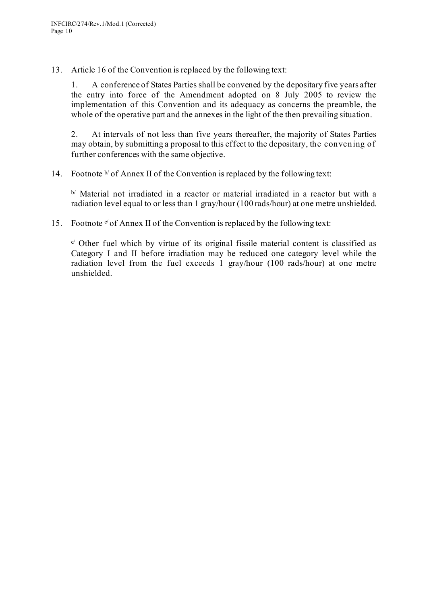13. Article 16 of the Convention is replaced by the following text:

1. A conference of States Parties shall be convened by the depositary five years after the entry into force of the Amendment adopted on 8 July 2005 to review the implementation of this Convention and its adequacy as concerns the preamble, the whole of the operative part and the annexes in the light of the then prevailing situation.

2. At intervals of not less than five years thereafter, the majority of States Parties may obtain, by submitting a proposal to this effect to the depositary, the convening of further conferences with the same objective.

14. Footnote  $\mathfrak{b}'$  of Annex II of the Convention is replaced by the following text:

b/ Material not irradiated in a reactor or material irradiated in a reactor but with a radiation level equal to or less than 1 gray/hour (100 rads/hour) at one metre unshielded.

15. Footnote  $e^{\prime}$  of Annex II of the Convention is replaced by the following text:

 $e^{i}$  Other fuel which by virtue of its original fissile material content is classified as Category I and II before irradiation may be reduced one category level while the radiation level from the fuel exceeds 1 gray/hour (100 rads/hour) at one metre unshielded.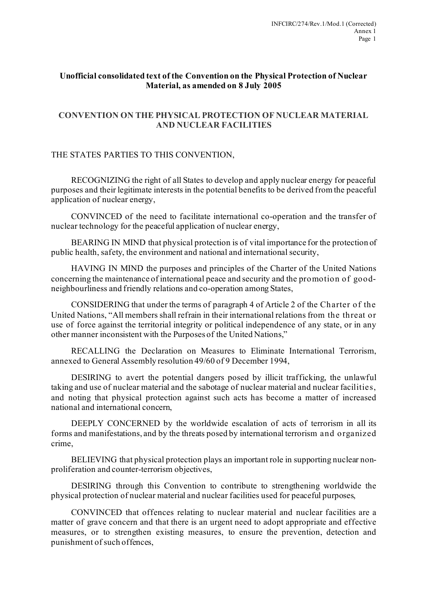## **Unofficial consolidated text of the Convention on the Physical Protection of Nuclear Material, as amended on 8 July 2005**

## **CONVENTION ON THE PHYSICAL PROTECTION OF NUCLEAR MATERIAL AND NUCLEAR FACILITIES**

# THE STATES PARTIES TO THIS CONVENTION,

RECOGNIZING the right of all States to develop and apply nuclear energy for peaceful purposes and their legitimate interests in the potential benefits to be derived from the peaceful application of nuclear energy,

CONVINCED of the need to facilitate international co-operation and the transfer of nuclear technology for the peaceful application of nuclear energy,

BEARING IN MIND that physical protection is of vital importance for the protection of public health, safety, the environment and national and international security,

HAVING IN MIND the purposes and principles of the Charter of the United Nations concerning the maintenance of international peace and security and the promotion of goodneighbourliness and friendly relations and co-operation among States,

CONSIDERING that under the terms of paragraph 4 of Article 2 of the Charter of the United Nations, "All members shall refrain in their international relations from the threat or use of force against the territorial integrity or political independence of any state, or in any other manner inconsistent with the Purposes of the United Nations,"

RECALLING the Declaration on Measures to Eliminate International Terrorism, annexed to General Assembly resolution 49/60 of 9 December 1994,

DESIRING to avert the potential dangers posed by illicit trafficking, the unlawful taking and use of nuclear material and the sabotage of nuclear material and nuclear facilities, and noting that physical protection against such acts has become a matter of increased national and international concern,

DEEPLY CONCERNED by the worldwide escalation of acts of terrorism in all its forms and manifestations, and by the threats posed by international terrorism and organized crime,

BELIEVING that physical protection plays an important role in supporting nuclear nonproliferation and counter-terrorism objectives,

DESIRING through this Convention to contribute to strengthening worldwide the physical protection of nuclear material and nuclear facilities used for peaceful purposes,

CONVINCED that offences relating to nuclear material and nuclear facilities are a matter of grave concern and that there is an urgent need to adopt appropriate and effective measures, or to strengthen existing measures, to ensure the prevention, detection and punishment of such offences,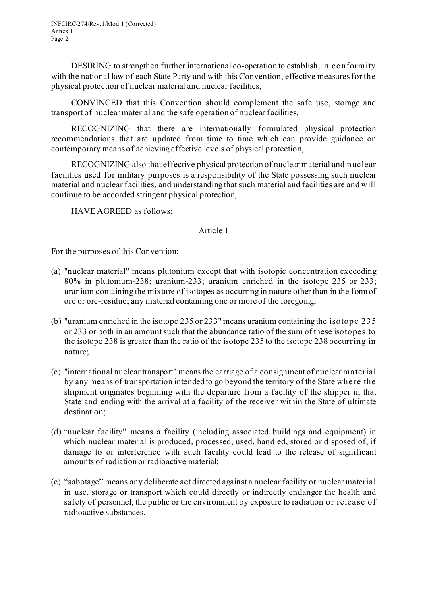INFCIRC/274/Rev.1/Mod.1 (Corrected) Annex 1 Page 2

DESIRING to strengthen further international co-operation to establish, in conformity with the national law of each State Party and with this Convention, effective measures for the physical protection of nuclear material and nuclear facilities,

CONVINCED that this Convention should complement the safe use, storage and transport of nuclear material and the safe operation of nuclear facilities,

RECOGNIZING that there are internationally formulated physical protection recommendations that are updated from time to time which can provide guidance on contemporary means of achieving effective levels of physical protection,

RECOGNIZING also that effective physical protection of nuclear material and nuclear facilities used for military purposes is a responsibility of the State possessing such nuclear material and nuclear facilities, and understanding that such material and facilities are and will continue to be accorded stringent physical protection,

HAVE AGREED as follows:

#### Article 1

For the purposes of this Convention:

- (a) "nuclear material" means plutonium except that with isotopic concentration exceeding 80% in plutonium-238; uranium-233; uranium enriched in the isotope 235 or 233; uranium containing the mixture of isotopes as occurring in nature other than in the form of ore or ore-residue; any material containing one or more of the foregoing;
- (b) "uranium enriched in the isotope 235 or 233" means uranium containing the isotope 235 or 233 or both in an amount such that the abundance ratio of the sum of these isotopes to the isotope 238 is greater than the ratio of the isotope 235 to the isotope 238 occurring in nature;
- (c) "international nuclear transport" means the carriage of a consignment of nuclear material by any means of transportation intended to go beyond the territory of the State where the shipment originates beginning with the departure from a facility of the shipper in that State and ending with the arrival at a facility of the receiver within the State of ultimate destination;
- (d) "nuclear facility" means a facility (including associated buildings and equipment) in which nuclear material is produced, processed, used, handled, stored or disposed of, if damage to or interference with such facility could lead to the release of significant amounts of radiation or radioactive material;
- (e) "sabotage" means any deliberate act directed against a nuclear facility or nuclear material in use, storage or transport which could directly or indirectly endanger the health and safety of personnel, the public or the environment by exposure to radiation or release of radioactive substances.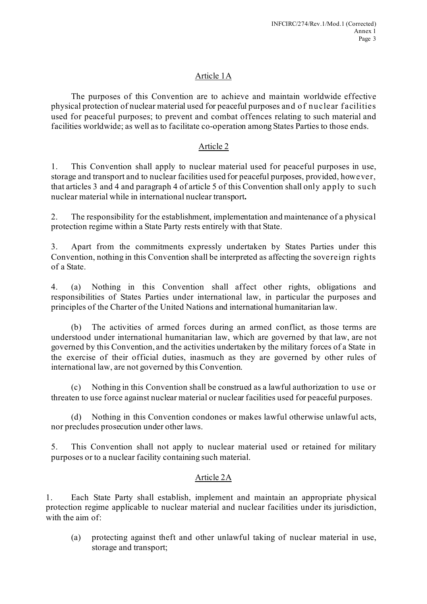## Article 1A

The purposes of this Convention are to achieve and maintain worldwide effective physical protection of nuclear material used for peaceful purposes and of nuclear facilities used for peaceful purposes; to prevent and combat offences relating to such material and facilities worldwide; as well as to facilitate co-operation among States Parties to those ends.

## Article 2

1. This Convention shall apply to nuclear material used for peaceful purposes in use, storage and transport and to nuclear facilities used for peaceful purposes, provided, however, that articles 3 and 4 and paragraph 4 of article 5 of this Convention shall only apply to such nuclear material while in international nuclear transport**.**

2. The responsibility for the establishment, implementation and maintenance of a physical protection regime within a State Party rests entirely with that State.

3. Apart from the commitments expressly undertaken by States Parties under this Convention, nothing in this Convention shall be interpreted as affecting the sovereign rights of a State.

4. (a) Nothing in this Convention shall affect other rights, obligations and responsibilities of States Parties under international law, in particular the purposes and principles of the Charter of the United Nations and international humanitarian law.

(b) The activities of armed forces during an armed conflict, as those terms are understood under international humanitarian law, which are governed by that law, are not governed by this Convention, and the activities undertaken by the military forces of a State in the exercise of their official duties, inasmuch as they are governed by other rules of international law, are not governed by this Convention.

(c) Nothing in this Convention shall be construed as a lawful authorization to use or threaten to use force against nuclear material or nuclear facilities used for peaceful purposes.

(d) Nothing in this Convention condones or makes lawful otherwise unlawful acts, nor precludes prosecution under other laws.

5. This Convention shall not apply to nuclear material used or retained for military purposes or to a nuclear facility containing such material.

# Article 2A

1. Each State Party shall establish, implement and maintain an appropriate physical protection regime applicable to nuclear material and nuclear facilities under its jurisdiction, with the aim of:

(a) protecting against theft and other unlawful taking of nuclear material in use, storage and transport;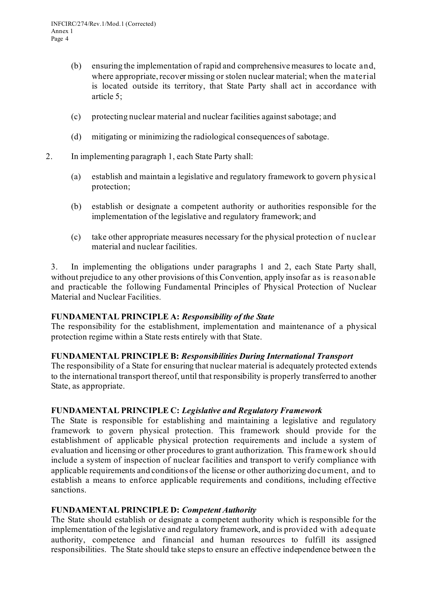- (b) ensuring the implementation of rapid and comprehensive measures to locate and, where appropriate, recover missing or stolen nuclear material; when the material is located outside its territory, that State Party shall act in accordance with article 5;
- (c) protecting nuclear material and nuclear facilities against sabotage; and
- (d) mitigating or minimizing the radiological consequences of sabotage.
- 2. In implementing paragraph 1, each State Party shall:
	- (a) establish and maintain a legislative and regulatory framework to govern physical protection;
	- (b) establish or designate a competent authority or authorities responsible for the implementation of the legislative and regulatory framework; and
	- (c) take other appropriate measures necessary for the physical protection of nuclear material and nuclear facilities.

3. In implementing the obligations under paragraphs 1 and 2, each State Party shall, without prejudice to any other provisions of this Convention, apply insofar as is reasonable and practicable the following Fundamental Principles of Physical Protection of Nuclear Material and Nuclear Facilities.

## **FUNDAMENTAL PRINCIPLE A:** *Responsibility of the State*

The responsibility for the establishment, implementation and maintenance of a physical protection regime within a State rests entirely with that State.

#### **FUNDAMENTAL PRINCIPLE B:** *Responsibilities During International Transport*

The responsibility of a State for ensuring that nuclear material is adequately protected extends to the international transport thereof, until that responsibility is properly transferred to another State, as appropriate.

#### **FUNDAMENTAL PRINCIPLE C:** *Legislative and Regulatory Framework*

The State is responsible for establishing and maintaining a legislative and regulatory framework to govern physical protection. This framework should provide for the establishment of applicable physical protection requirements and include a system of evaluation and licensing or other procedures to grant authorization. This framework should include a system of inspection of nuclear facilities and transport to verify compliance with applicable requirements and conditions of the license or other authorizing document, and to establish a means to enforce applicable requirements and conditions, including effective sanctions.

#### **FUNDAMENTAL PRINCIPLE D:** *Competent Authority*

The State should establish or designate a competent authority which is responsible for the implementation of the legislative and regulatory framework, and is provided with adequate authority, competence and financial and human resources to fulfill its assigned responsibilities. The State should take steps to ensure an effective independence between the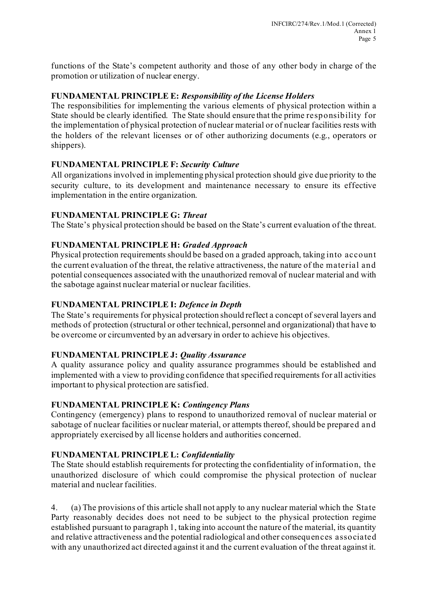functions of the State's competent authority and those of any other body in charge of the promotion or utilization of nuclear energy.

# **FUNDAMENTAL PRINCIPLE E:** *Responsibility of the License Holders*

The responsibilities for implementing the various elements of physical protection within a State should be clearly identified. The State should ensure that the prime responsibility for the implementation of physical protection of nuclear material or of nuclear facilities rests with the holders of the relevant licenses or of other authorizing documents (e.g., operators or shippers).

## **FUNDAMENTAL PRINCIPLE F:** *Security Culture*

All organizations involved in implementing physical protection should give due priority to the security culture, to its development and maintenance necessary to ensure its effective implementation in the entire organization.

# **FUNDAMENTAL PRINCIPLE G:** *Threat*

The State's physical protection should be based on the State's current evaluation of the threat.

# **FUNDAMENTAL PRINCIPLE H:** *Graded Approach*

Physical protection requirements should be based on a graded approach, taking into account the current evaluation of the threat, the relative attractiveness, the nature of the material and potential consequences associated with the unauthorized removal of nuclear material and with the sabotage against nuclear material or nuclear facilities.

# **FUNDAMENTAL PRINCIPLE I:** *Defence in Depth*

The State's requirements for physical protection should reflect a concept of several layers and methods of protection (structural or other technical, personnel and organizational) that have to be overcome or circumvented by an adversary in order to achieve his objectives.

## **FUNDAMENTAL PRINCIPLE J:** *Quality Assurance*

A quality assurance policy and quality assurance programmes should be established and implemented with a view to providing confidence that specified requirements for all activities important to physical protection are satisfied.

## **FUNDAMENTAL PRINCIPLE K:** *Contingency Plans*

Contingency (emergency) plans to respond to unauthorized removal of nuclear material or sabotage of nuclear facilities or nuclear material, or attempts thereof, should be prepared and appropriately exercised by all license holders and authorities concerned.

## **FUNDAMENTAL PRINCIPLE L:** *Confidentiality*

The State should establish requirements for protecting the confidentiality of information, the unauthorized disclosure of which could compromise the physical protection of nuclear material and nuclear facilities.

4. (a) The provisions of this article shall not apply to any nuclear material which the State Party reasonably decides does not need to be subject to the physical protection regime established pursuant to paragraph 1, taking into account the nature of the material, its quantity and relative attractiveness and the potential radiological and other consequences associated with any unauthorized act directed against it and the current evaluation of the threat against it.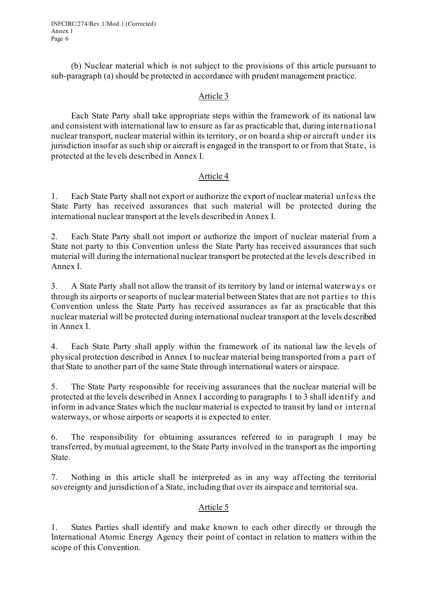INFCIRC/274/Rev.1/Mod.1 (Corrected) Annex 1 Page 6

(b) Nuclear material which is not subject to the provisions of this article pursuant to sub-paragraph (a) should be protected in accordance with prudent management practice.

## Article 3

Each State Party shall take appropriate steps within the framework of its national law and consistent with international law to ensure as far as practicable that, during international nuclear transport, nuclear material within its territory, or on board a ship or aircraft under its jurisdiction insofar as such ship or aircraft is engaged in the transport to or from that State, is protected at the levels described in Annex I.

## Article 4

1. Each State Party shall not export or authorize the export of nuclear material unless the State Party has received assurances that such material will be protected during the international nuclear transport at the levels described in Annex I.

2. Each State Party shall not import or authorize the import of nuclear material from a State not party to this Convention unless the State Party has received assurances that such material will during the international nuclear transport be protected at the levels described in Annex I.

3. A State Party shall not allow the transit of its territory by land or internal waterways or through its airports or seaports of nuclear material between States that are not parties to this Convention unless the State Party has received assurances as far as practicable that this nuclear material will be protected during international nuclear transport at the levels described in Annex I.

4. Each State Party shall apply within the framework of its national law the levels of physical protection described in Annex I to nuclear material being transported from a part of that State to another part of the same State through international waters or airspace.

5. The State Party responsible for receiving assurances that the nuclear material will be protected at the levels described in Annex I according to paragraphs 1 to 3 shall identify and inform in advance States which the nuclear material is expected to transit by land or internal waterways, or whose airports or seaports it is expected to enter.

6. The responsibility for obtaining assurances referred to in paragraph 1 may be transferred, by mutual agreement, to the State Party involved in the transport as the importing State.

7. Nothing in this article shall be interpreted as in any way affecting the territorial sovereignty and jurisdiction of a State, including that over its airspace and territorial sea.

## Article 5

1. States Parties shall identify and make known to each other directly or through the International Atomic Energy Agency their point of contact in relation to matters within the scope of this Convention.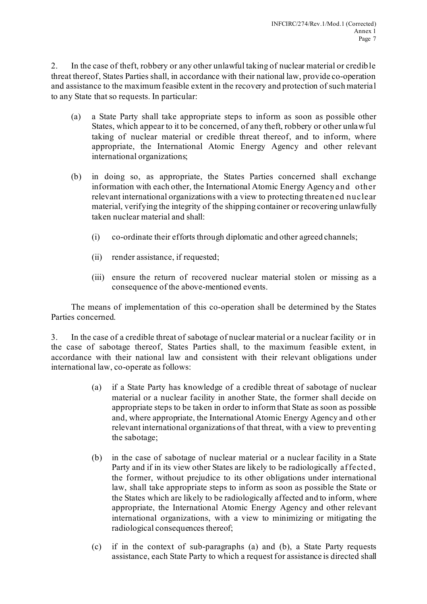2. In the case of theft, robbery or any other unlawful taking of nuclear material or credible threat thereof, States Parties shall, in accordance with their national law, provide co-operation and assistance to the maximum feasible extent in the recovery and protection of such material to any State that so requests. In particular:

- (a) a State Party shall take appropriate steps to inform as soon as possible other States, which appear to it to be concerned, of any theft, robbery or other unlawful taking of nuclear material or credible threat thereof, and to inform, where appropriate, the International Atomic Energy Agency and other relevant international organizations;
- (b) in doing so, as appropriate, the States Parties concerned shall exchange information with each other, the International Atomic Energy Agency and other relevant international organizations with a view to protecting threatened nuclear material, verifying the integrity of the shipping container or recovering unlawfully taken nuclear material and shall:
	- (i) co-ordinate their efforts through diplomatic and other agreed channels;
	- (ii) render assistance, if requested;
	- (iii) ensure the return of recovered nuclear material stolen or missing as a consequence of the above-mentioned events.

The means of implementation of this co-operation shall be determined by the States Parties concerned.

3. In the case of a credible threat of sabotage of nuclear material or a nuclear facility or in the case of sabotage thereof, States Parties shall, to the maximum feasible extent, in accordance with their national law and consistent with their relevant obligations under international law, co-operate as follows:

- (a) if a State Party has knowledge of a credible threat of sabotage of nuclear material or a nuclear facility in another State, the former shall decide on appropriate steps to be taken in order to inform that State as soon as possible and, where appropriate, the International Atomic Energy Agency and other relevant international organizations of that threat, with a view to preventing the sabotage;
- (b) in the case of sabotage of nuclear material or a nuclear facility in a State Party and if in its view other States are likely to be radiologically af fected, the former, without prejudice to its other obligations under international law, shall take appropriate steps to inform as soon as possible the State or the States which are likely to be radiologically affected and to inform, where appropriate, the International Atomic Energy Agency and other relevant international organizations, with a view to minimizing or mitigating the radiological consequences thereof;
- (c) if in the context of sub-paragraphs (a) and (b), a State Party requests assistance, each State Party to which a request for assistance is directed shall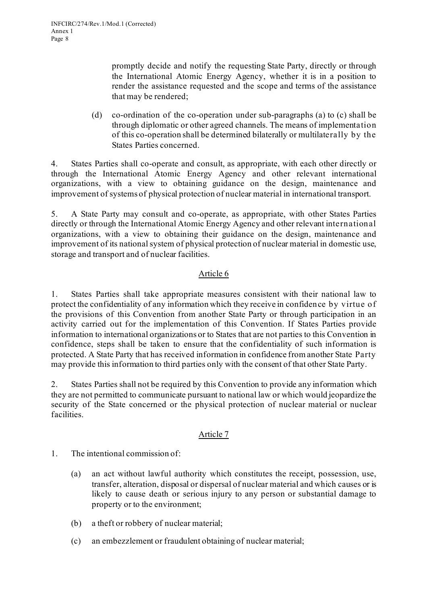promptly decide and notify the requesting State Party, directly or through the International Atomic Energy Agency, whether it is in a position to render the assistance requested and the scope and terms of the assistance that may be rendered;

(d) co-ordination of the co-operation under sub-paragraphs (a) to (c) shall be through diplomatic or other agreed channels. The means of implementation of this co-operation shall be determined bilaterally or multilaterally by the States Parties concerned.

4. States Parties shall co-operate and consult, as appropriate, with each other directly or through the International Atomic Energy Agency and other relevant international organizations, with a view to obtaining guidance on the design, maintenance and improvement of systems of physical protection of nuclear material in international transport.

5. A State Party may consult and co-operate, as appropriate, with other States Parties directly or through the International Atomic Energy Agency and other relevant international organizations, with a view to obtaining their guidance on the design, maintenance and improvement of its national system of physical protection of nuclear material in domestic use, storage and transport and of nuclear facilities.

# Article 6

1. States Parties shall take appropriate measures consistent with their national law to protect the confidentiality of any information which they receive in confidence by virtue of the provisions of this Convention from another State Party or through participation in an activity carried out for the implementation of this Convention. If States Parties provide information to international organizations or to States that are not parties to this Convention in confidence, steps shall be taken to ensure that the confidentiality of such information is protected. A State Party that has received information in confidence from another State Party may provide this information to third parties only with the consent of that other State Party.

2. States Parties shall not be required by this Convention to provide any information which they are not permitted to communicate pursuant to national law or which would jeopardize the security of the State concerned or the physical protection of nuclear material or nuclear facilities.

# Article 7

- 1. The intentional commission of:
	- (a) an act without lawful authority which constitutes the receipt, possession, use, transfer, alteration, disposal or dispersal of nuclear material and which causes or is likely to cause death or serious injury to any person or substantial damage to property or to the environment;
	- (b) a theft or robbery of nuclear material;
	- (c) an embezzlement or fraudulent obtaining of nuclear material;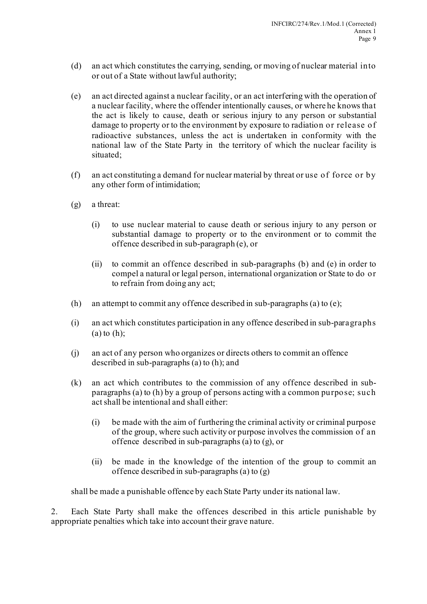- (d) an act which constitutes the carrying, sending, or moving of nuclear material into or out of a State without lawful authority;
- (e) an act directed against a nuclear facility, or an act interfering with the operation of a nuclear facility, where the offender intentionally causes, or where he knows that the act is likely to cause, death or serious injury to any person or substantial damage to property or to the environment by exposure to radiation or release of radioactive substances, unless the act is undertaken in conformity with the national law of the State Party in the territory of which the nuclear facility is situated;
- (f) an act constituting a demand for nuclear material by threat or use of force or by any other form of intimidation;
- (g) a threat:
	- (i) to use nuclear material to cause death or serious injury to any person or substantial damage to property or to the environment or to commit the offence described in sub-paragraph (e), or
	- (ii) to commit an offence described in sub-paragraphs (b) and (e) in order to compel a natural or legal person, international organization or State to do or to refrain from doing any act;
- (h) an attempt to commit any offence described in sub-paragraphs (a) to (e);
- (i) an act which constitutes participation in any offence described in sub-paragraphs  $(a)$  to  $(h)$ ;
- (j) an act of any person who organizes or directs others to commit an offence described in sub-paragraphs (a) to (h); and
- (k) an act which contributes to the commission of any offence described in subparagraphs (a) to (h) by a group of persons acting with a common purpose; such act shall be intentional and shall either:
	- (i) be made with the aim of furthering the criminal activity or criminal purpose of the group, where such activity or purpose involves the commission of an offence described in sub-paragraphs (a) to (g), or
	- (ii) be made in the knowledge of the intention of the group to commit an offence described in sub-paragraphs (a) to (g)

shall be made a punishable offence by each State Party under its national law.

2. Each State Party shall make the offences described in this article punishable by appropriate penalties which take into account their grave nature.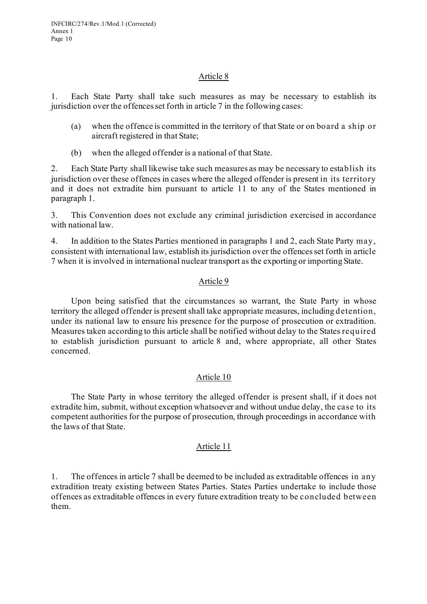#### Article 8

1. Each State Party shall take such measures as may be necessary to establish its jurisdiction over the offences set forth in article 7 in the following cases:

- (a) when the offence is committed in the territory of that State or on board a ship or aircraft registered in that State;
- (b) when the alleged offender is a national of that State.

2. Each State Party shall likewise take such measures as may be necessary to establish its jurisdiction over these offences in cases where the alleged offender is present in its territory and it does not extradite him pursuant to article 11 to any of the States mentioned in paragraph 1.

3. This Convention does not exclude any criminal jurisdiction exercised in accordance with national law.

4. In addition to the States Parties mentioned in paragraphs 1 and 2, each State Party may, consistent with international law, establish its jurisdiction over the offences set forth in article 7 when it is involved in international nuclear transport as the exporting or importing State.

#### Article 9

Upon being satisfied that the circumstances so warrant, the State Party in whose territory the alleged offender is present shall take appropriate measures, including detention, under its national law to ensure his presence for the purpose of prosecution or extradition. Measures taken according to this article shall be notified without delay to the States required to establish jurisdiction pursuant to article 8 and, where appropriate, all other States concerned.

## Article 10

The State Party in whose territory the alleged offender is present shall, if it does not extradite him, submit, without exception whatsoever and without undue delay, the case to its competent authorities for the purpose of prosecution, through proceedings in accordance with the laws of that State.

#### Article 11

1. The offences in article 7 shall be deemed to be included as extraditable offences in any extradition treaty existing between States Parties. States Parties undertake to include those offences as extraditable offences in every future extradition treaty to be concluded between them.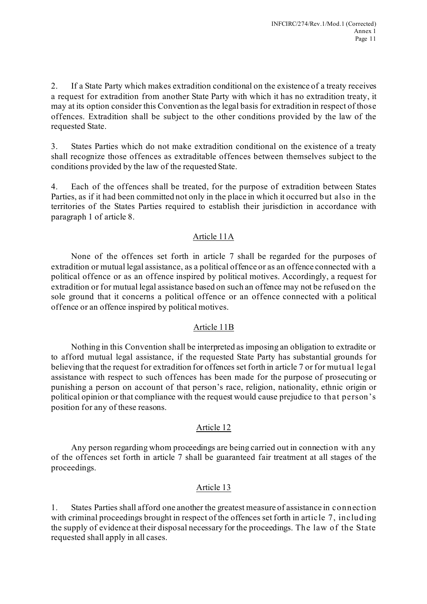2. If a State Party which makes extradition conditional on the existence of a treaty receives a request for extradition from another State Party with which it has no extradition treaty, it may at its option consider this Convention as the legal basis for extradition in respect of those offences. Extradition shall be subject to the other conditions provided by the law of the requested State.

3. States Parties which do not make extradition conditional on the existence of a treaty shall recognize those offences as extraditable offences between themselves subject to the conditions provided by the law of the requested State.

4. Each of the offences shall be treated, for the purpose of extradition between States Parties, as if it had been committed not only in the place in which it occurred but also in the territories of the States Parties required to establish their jurisdiction in accordance with paragraph 1 of article 8.

## Article 11A

None of the offences set forth in article 7 shall be regarded for the purposes of extradition or mutual legal assistance, as a political offence or as an offence connected with a political offence or as an offence inspired by political motives. Accordingly, a request for extradition or for mutual legal assistance based on such an offence may not be refused on the sole ground that it concerns a political offence or an offence connected with a political offence or an offence inspired by political motives.

## Article 11B

Nothing in this Convention shall be interpreted as imposing an obligation to extradite or to afford mutual legal assistance, if the requested State Party has substantial grounds for believing that the request for extradition for offences set forth in article 7 or for mutual legal assistance with respect to such offences has been made for the purpose of prosecuting or punishing a person on account of that person's race, religion, nationality, ethnic origin or political opinion or that compliance with the request would cause prejudice to that person's position for any of these reasons.

## Article 12

Any person regarding whom proceedings are being carried out in connection with any of the offences set forth in article 7 shall be guaranteed fair treatment at all stages of the proceedings.

## Article 13

1. States Parties shall afford one another the greatest measure of assistance in connection with criminal proceedings brought in respect of the offences set forth in article 7, including the supply of evidence at their disposal necessary for the proceedings. The law of the State requested shall apply in all cases.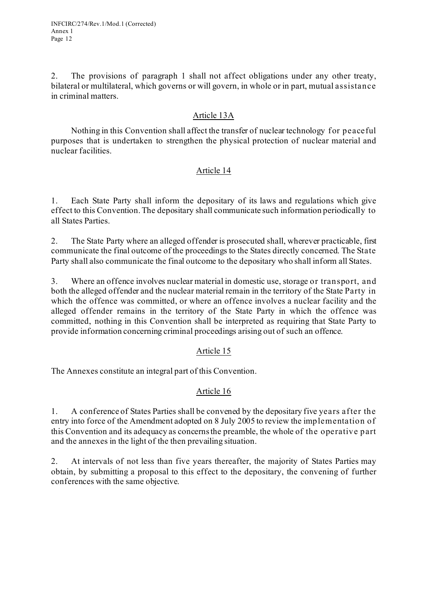2. The provisions of paragraph 1 shall not affect obligations under any other treaty, bilateral or multilateral, which governs or will govern, in whole or in part, mutual assistance in criminal matters.

# Article 13A

Nothing in this Convention shall affect the transfer of nuclear technology for peaceful purposes that is undertaken to strengthen the physical protection of nuclear material and nuclear facilities.

# Article 14

1. Each State Party shall inform the depositary of its laws and regulations which give effect to this Convention. The depositary shall communicate such information periodically to all States Parties.

2. The State Party where an alleged offender is prosecuted shall, wherever practicable, first communicate the final outcome of the proceedings to the States directly concerned. The State Party shall also communicate the final outcome to the depositary who shall inform all States.

3. Where an offence involves nuclear material in domestic use, storage or transport, and both the alleged offender and the nuclear material remain in the territory of the State Party in which the offence was committed, or where an offence involves a nuclear facility and the alleged offender remains in the territory of the State Party in which the offence was committed, nothing in this Convention shall be interpreted as requiring that State Party to provide information concerning criminal proceedings arising out of such an offence.

## Article 15

The Annexes constitute an integral part of this Convention.

# Article 16

1. A conference of States Parties shall be convened by the depositary five years af ter the entry into force of the Amendment adopted on 8 July 2005 to review the implementation of this Convention and its adequacy as concerns the preamble, the whole of the operative part and the annexes in the light of the then prevailing situation.

2. At intervals of not less than five years thereafter, the majority of States Parties may obtain, by submitting a proposal to this effect to the depositary, the convening of further conferences with the same objective.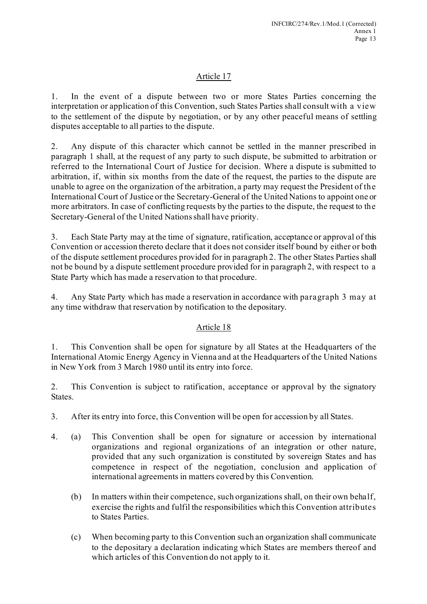# Article 17

1. In the event of a dispute between two or more States Parties concerning the interpretation or application of this Convention, such States Parties shall consult with a view to the settlement of the dispute by negotiation, or by any other peaceful means of settling disputes acceptable to all parties to the dispute.

2. Any dispute of this character which cannot be settled in the manner prescribed in paragraph 1 shall, at the request of any party to such dispute, be submitted to arbitration or referred to the International Court of Justice for decision. Where a dispute is submitted to arbitration, if, within six months from the date of the request, the parties to the dispute are unable to agree on the organization of the arbitration, a party may request the President of the International Court of Justice or the Secretary-General of the United Nations to appoint one or more arbitrators. In case of conflicting requests by the parties to the dispute, the request to the Secretary-General of the United Nations shall have priority.

3. Each State Party may at the time of signature, ratification, acceptance or approval of this Convention or accession thereto declare that it does not consider itself bound by either or both of the dispute settlement procedures provided for in paragraph 2. The other States Parties shall not be bound by a dispute settlement procedure provided for in paragraph 2, with respect to a State Party which has made a reservation to that procedure.

4. Any State Party which has made a reservation in accordance with paragraph 3 may at any time withdraw that reservation by notification to the depositary.

## Article 18

1. This Convention shall be open for signature by all States at the Headquarters of the International Atomic Energy Agency in Vienna and at the Headquarters of the United Nations in New York from 3 March 1980 until its entry into force.

2. This Convention is subject to ratification, acceptance or approval by the signatory States.

- 3. After its entry into force, this Convention will be open for accession by all States.
- 4. (a) This Convention shall be open for signature or accession by international organizations and regional organizations of an integration or other nature, provided that any such organization is constituted by sovereign States and has competence in respect of the negotiation, conclusion and application of international agreements in matters covered by this Convention.
	- (b) In matters within their competence, such organizations shall, on their own behalf, exercise the rights and fulfil the responsibilities which this Convention attributes to States Parties.
	- (c) When becoming party to this Convention such an organization shall communicate to the depositary a declaration indicating which States are members thereof and which articles of this Convention do not apply to it.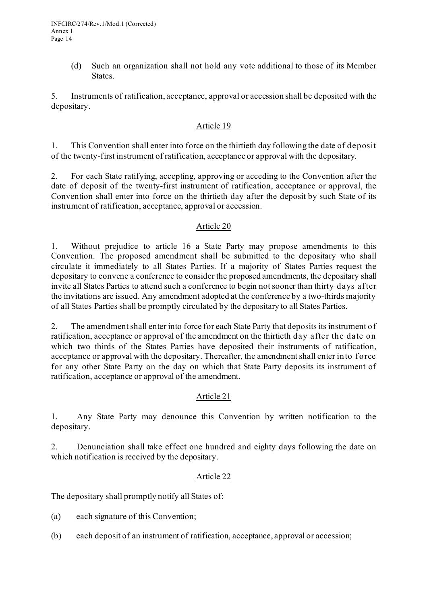(d) Such an organization shall not hold any vote additional to those of its Member States.

5. Instruments of ratification, acceptance, approval or accession shall be deposited with the depositary.

## Article 19

1. This Convention shall enter into force on the thirtieth day following the date of deposit of the twenty-first instrument of ratification, acceptance or approval with the depositary.

2. For each State ratifying, accepting, approving or acceding to the Convention after the date of deposit of the twenty-first instrument of ratification, acceptance or approval, the Convention shall enter into force on the thirtieth day after the deposit by such State of its instrument of ratification, acceptance, approval or accession.

## Article 20

1. Without prejudice to article 16 a State Party may propose amendments to this Convention. The proposed amendment shall be submitted to the depositary who shall circulate it immediately to all States Parties. If a majority of States Parties request the depositary to convene a conference to consider the proposed amendments, the depositary shall invite all States Parties to attend such a conference to begin not sooner than thirty days af ter the invitations are issued. Any amendment adopted at the conference by a two-thirds majority of all States Parties shall be promptly circulated by the depositary to all States Parties.

2. The amendment shall enter into force for each State Party that deposits its instrument of ratification, acceptance or approval of the amendment on the thirtieth day after the date on which two thirds of the States Parties have deposited their instruments of ratification, acceptance or approval with the depositary. Thereafter, the amendment shall enter into force for any other State Party on the day on which that State Party deposits its instrument of ratification, acceptance or approval of the amendment.

## Article 21

1. Any State Party may denounce this Convention by written notification to the depositary.

2. Denunciation shall take effect one hundred and eighty days following the date on which notification is received by the depositary.

#### Article 22

The depositary shall promptly notify all States of:

- (a) each signature of this Convention;
- (b) each deposit of an instrument of ratification, acceptance, approval or accession;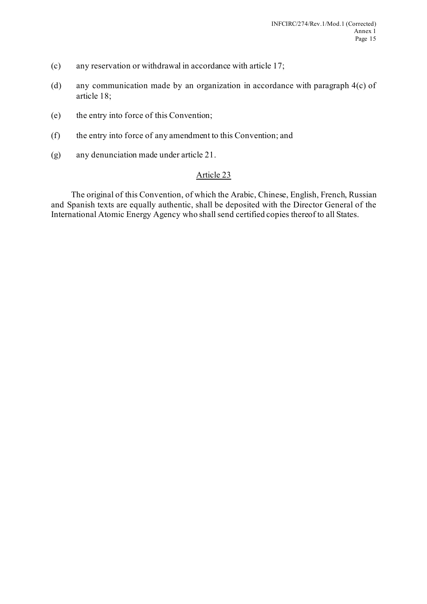- (c) any reservation or withdrawal in accordance with article 17;
- (d) any communication made by an organization in accordance with paragraph 4(c) of article 18;
- (e) the entry into force of this Convention;
- (f) the entry into force of any amendment to this Convention; and
- (g) any denunciation made under article 21.

# Article 23

The original of this Convention, of which the Arabic, Chinese, English, French, Russian and Spanish texts are equally authentic, shall be deposited with the Director General of the International Atomic Energy Agency who shall send certified copies thereof to all States.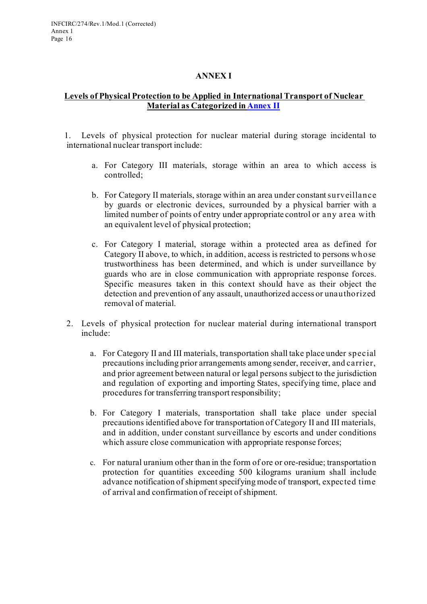# **ANNEX I**

## **Levels of Physical Protection to be Applied in International Transport of Nuclear Material as Categorized in [Annex II](https://www.iaea.org/sites/default/files/infcirc274r1.pdf)**

1. Levels of physical protection for nuclear material during storage incidental to international nuclear transport include:

- a. For Category III materials, storage within an area to which access is controlled;
- b. For Category II materials, storage within an area under constant surveillance by guards or electronic devices, surrounded by a physical barrier with a limited number of points of entry under appropriate control or any area with an equivalent level of physical protection;
- c. For Category I material, storage within a protected area as defined for Category II above, to which, in addition, access is restricted to persons whose trustworthiness has been determined, and which is under surveillance by guards who are in close communication with appropriate response forces. Specific measures taken in this context should have as their object the detection and prevention of any assault, unauthorized access or unauthorized removal of material.
- 2. Levels of physical protection for nuclear material during international transport include:
	- a. For Category II and III materials, transportation shall take place under special precautions including prior arrangements among sender, receiver, and carrier, and prior agreement between natural or legal persons subject to the jurisdiction and regulation of exporting and importing States, specifying time, place and procedures for transferring transport responsibility;
	- b. For Category I materials, transportation shall take place under special precautions identified above for transportation of Category II and III materials, and in addition, under constant surveillance by escorts and under conditions which assure close communication with appropriate response forces;
	- c. For natural uranium other than in the form of ore or ore-residue; transportation protection for quantities exceeding 500 kilograms uranium shall include advance notification of shipment specifying mode of transport, expected time of arrival and confirmation of receipt of shipment.